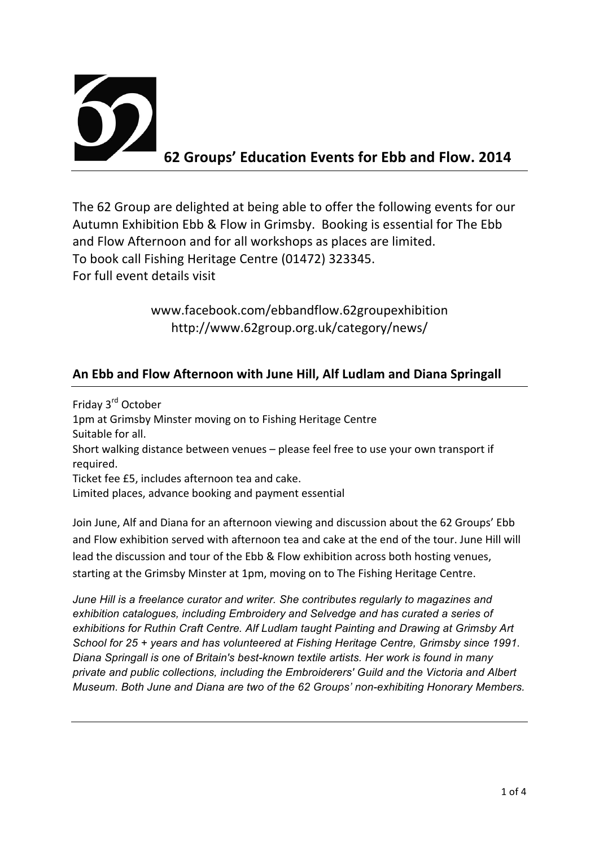

The 62 Group are delighted at being able to offer the following events for our Autumn Exhibition Ebb & Flow in Grimsby. Booking is essential for The Ebb and Flow Afternoon and for all workshops as places are limited. To book call Fishing Heritage Centre (01472) 323345. For full event details visit

> www.facebook.com/ebbandflow.62groupexhibition http://www.62group.org.uk/category/news/

## An Ebb and Flow Afternoon with June Hill, Alf Ludlam and Diana Springall

Friday 3<sup>rd</sup> October 1pm at Grimsby Minster moving on to Fishing Heritage Centre Suitable for all. Short walking distance between venues – please feel free to use your own transport if required. Ticket fee £5, includes afternoon tea and cake. Limited places, advance booking and payment essential

Join June, Alf and Diana for an afternoon viewing and discussion about the 62 Groups' Ebb and Flow exhibition served with afternoon tea and cake at the end of the tour. June Hill will lead the discussion and tour of the Ebb & Flow exhibition across both hosting venues, starting at the Grimsby Minster at 1pm, moving on to The Fishing Heritage Centre.

*June Hill is a freelance curator and writer. She contributes regularly to magazines and exhibition catalogues, including Embroidery and Selvedge and has curated a series of exhibitions for Ruthin Craft Centre. Alf Ludlam taught Painting and Drawing at Grimsby Art School for 25 + years and has volunteered at Fishing Heritage Centre, Grimsby since 1991. Diana Springall is one of Britain's best-known textile artists. Her work is found in many private and public collections, including the Embroiderers' Guild and the Victoria and Albert Museum. Both June and Diana are two of the 62 Groups' non-exhibiting Honorary Members.*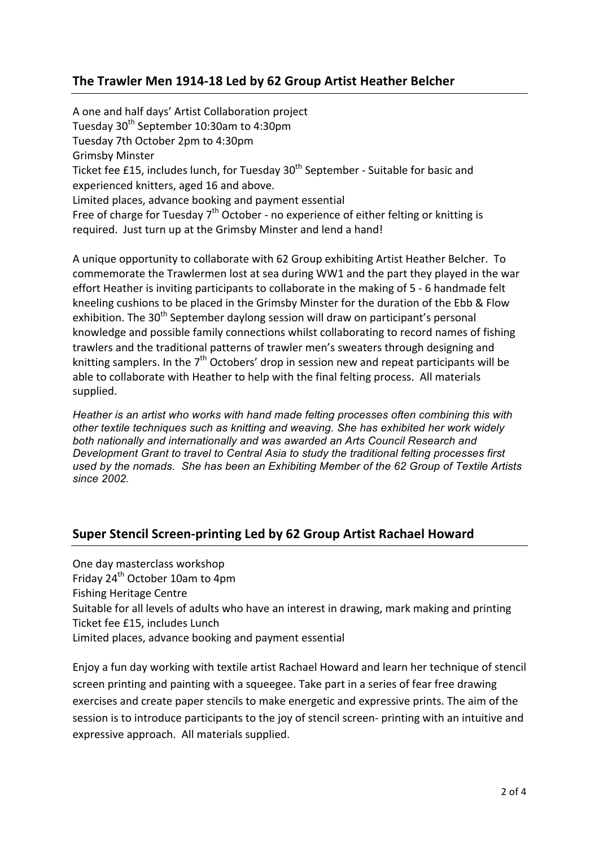### The Trawler Men 1914-18 Led by 62 Group Artist Heather Belcher

A one and half days' Artist Collaboration project Tuesday 30<sup>th</sup> September 10:30am to 4:30pm Tuesday 7th October 2pm to 4:30pm **Grimsby Minster** Ticket fee £15, includes lunch, for Tuesday 30<sup>th</sup> September - Suitable for basic and experienced knitters, aged 16 and above. Limited places, advance booking and payment essential Free of charge for Tuesday  $7<sup>th</sup>$  October - no experience of either felting or knitting is required. Just turn up at the Grimsby Minster and lend a hand!

A unique opportunity to collaborate with 62 Group exhibiting Artist Heather Belcher. To commemorate the Trawlermen lost at sea during WW1 and the part they played in the war effort Heather is inviting participants to collaborate in the making of 5 - 6 handmade felt kneeling cushions to be placed in the Grimsby Minster for the duration of the Ebb & Flow exhibition. The  $30<sup>th</sup>$  September daylong session will draw on participant's personal knowledge and possible family connections whilst collaborating to record names of fishing trawlers and the traditional patterns of trawler men's sweaters through designing and knitting samplers. In the  $7<sup>th</sup>$  Octobers' drop in session new and repeat participants will be able to collaborate with Heather to help with the final felting process. All materials supplied.

*Heather is an artist who works with hand made felting processes often combining this with other textile techniques such as knitting and weaving. She has exhibited her work widely both nationally and internationally and was awarded an Arts Council Research and Development Grant to travel to Central Asia to study the traditional felting processes first used by the nomads. She has been an Exhibiting Member of the 62 Group of Textile Artists since 2002.* 

### **Super Stencil Screen-printing Led by 62 Group Artist Rachael Howard**

One day masterclass workshop Friday 24<sup>th</sup> October 10am to 4pm Fishing Heritage Centre Suitable for all levels of adults who have an interest in drawing, mark making and printing Ticket fee £15, includes Lunch Limited places, advance booking and payment essential

Enjoy a fun day working with textile artist Rachael Howard and learn her technique of stencil screen printing and painting with a squeegee. Take part in a series of fear free drawing exercises and create paper stencils to make energetic and expressive prints. The aim of the session is to introduce participants to the joy of stencil screen- printing with an intuitive and expressive approach. All materials supplied.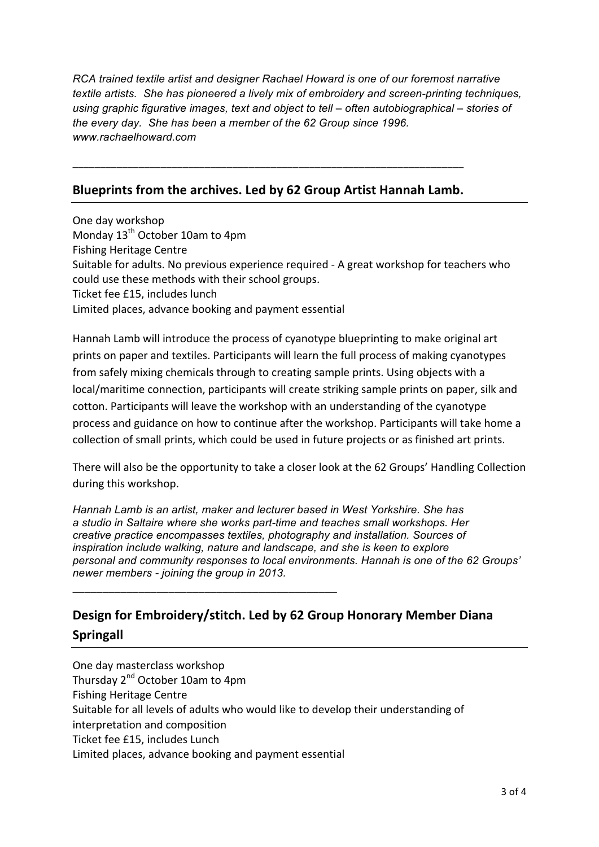*RCA trained textile artist and designer Rachael Howard is one of our foremost narrative textile artists. She has pioneered a lively mix of embroidery and screen-printing techniques, using graphic figurative images, text and object to tell – often autobiographical – stories of the every day. She has been a member of the 62 Group since 1996. www.rachaelhoward.com*

#### Blueprints from the archives. Led by 62 Group Artist Hannah Lamb.

\_\_\_\_\_\_\_\_\_\_\_\_\_\_\_\_\_\_\_\_\_\_\_\_\_\_\_\_\_\_\_\_\_\_\_\_\_\_\_\_\_\_\_\_\_\_\_\_\_\_\_\_\_\_\_\_\_\_\_\_\_\_\_\_\_\_\_\_\_\_\_

One day workshop Monday  $13<sup>th</sup>$  October 10am to 4pm Fishing Heritage Centre Suitable for adults. No previous experience required - A great workshop for teachers who could use these methods with their school groups. Ticket fee £15, includes lunch Limited places, advance booking and payment essential

Hannah Lamb will introduce the process of cyanotype blueprinting to make original art prints on paper and textiles. Participants will learn the full process of making cyanotypes from safely mixing chemicals through to creating sample prints. Using objects with a local/maritime connection, participants will create striking sample prints on paper, silk and cotton. Participants will leave the workshop with an understanding of the cyanotype process and guidance on how to continue after the workshop. Participants will take home a collection of small prints, which could be used in future projects or as finished art prints.

There will also be the opportunity to take a closer look at the 62 Groups' Handling Collection during this workshop.

*Hannah Lamb is an artist, maker and lecturer based in West Yorkshire. She has a studio in Saltaire where she works part-time and teaches small workshops. Her creative practice encompasses textiles, photography and installation. Sources of inspiration include walking, nature and landscape, and she is keen to explore personal and community responses to local environments. Hannah is one of the 62 Groups' newer members - joining the group in 2013.*

# **Design for Embroidery/stitch. Led by 62 Group Honorary Member Diana Springall!**

\_\_\_\_\_\_\_\_\_\_\_\_\_\_\_\_\_\_\_\_\_\_\_\_\_\_\_\_\_\_\_\_\_\_\_\_\_\_\_\_\_\_\_\_

One day masterclass workshop Thursday 2<sup>nd</sup> October 10am to 4pm Fishing Heritage Centre Suitable for all levels of adults who would like to develop their understanding of interpretation and composition Ticket fee £15, includes Lunch Limited places, advance booking and payment essential